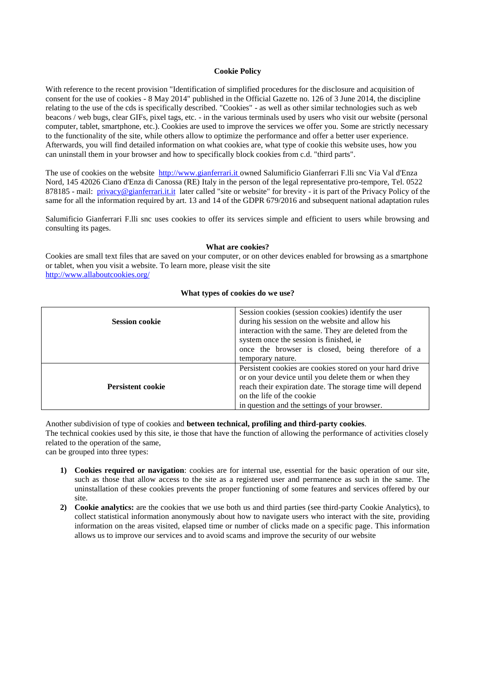## **Cookie Policy**

With reference to the recent provision "Identification of simplified procedures for the disclosure and acquisition of consent for the use of cookies - 8 May 2014" published in the Official Gazette no. 126 of 3 June 2014, the discipline relating to the use of the cds is specifically described. "Cookies" - as well as other similar technologies such as web beacons / web bugs, clear GIFs, pixel tags, etc. - in the various terminals used by users who visit our website (personal computer, tablet, smartphone, etc.). Cookies are used to improve the services we offer you. Some are strictly necessary to the functionality of the site, while others allow to optimize the performance and offer a better user experience. Afterwards, you will find detailed information on what cookies are, what type of cookie this website uses, how you can uninstall them in your browser and how to specifically block cookies from c.d. "third parts".

The use of cookies on the website [http://www.gianferrari.it](http://www.gianferrari.it/) owned Salumificio Gianferrari F.lli snc Via Val d'Enza Nord, 145 42026 Ciano d'Enza di Canossa (RE) Italy in the person of the legal representative pro-tempore, Tel. 0522 878185 - mail: [privacy@gianferrari.it.it](mailto:privacy@gianferrari.it.it) later called "site or website" for brevity - it is part of the Privacy Policy of the same for all the information required by art. 13 and 14 of the GDPR 679/2016 and subsequent national adaptation rules

Salumificio Gianferrari F.lli snc uses cookies to offer its services simple and efficient to users while browsing and consulting its pages.

#### **What are cookies?**

Cookies are small text files that are saved on your computer, or on other devices enabled for browsing as a smartphone or tablet, when you visit a website. To learn more, please visit the site <http://www.allaboutcookies.org/>

### **What types of cookies do we use?**

| <b>Session cookie</b>    | Session cookies (session cookies) identify the user<br>during his session on the website and allow his |
|--------------------------|--------------------------------------------------------------------------------------------------------|
|                          | interaction with the same. They are deleted from the                                                   |
|                          | system once the session is finished, ie                                                                |
|                          | once the browser is closed, being therefore of a                                                       |
|                          | temporary nature.                                                                                      |
|                          | Persistent cookies are cookies stored on your hard drive                                               |
| <b>Persistent cookie</b> | or on your device until you delete them or when they                                                   |
|                          | reach their expiration date. The storage time will depend                                              |
|                          | on the life of the cookie                                                                              |
|                          | in question and the settings of your browser.                                                          |

Another subdivision of type of cookies and **between technical, profiling and third-party cookies**. The technical cookies used by this site, ie those that have the function of allowing the performance of activities closely related to the operation of the same,

can be grouped into three types:

- **1) Cookies required or navigation**: cookies are for internal use, essential for the basic operation of our site, such as those that allow access to the site as a registered user and permanence as such in the same. The uninstallation of these cookies prevents the proper functioning of some features and services offered by our site.
- **2) Cookie analytics:** are the cookies that we use both us and third parties (see third-party Cookie Analytics), to collect statistical information anonymously about how to navigate users who interact with the site, providing information on the areas visited, elapsed time or number of clicks made on a specific page. This information allows us to improve our services and to avoid scams and improve the security of our website